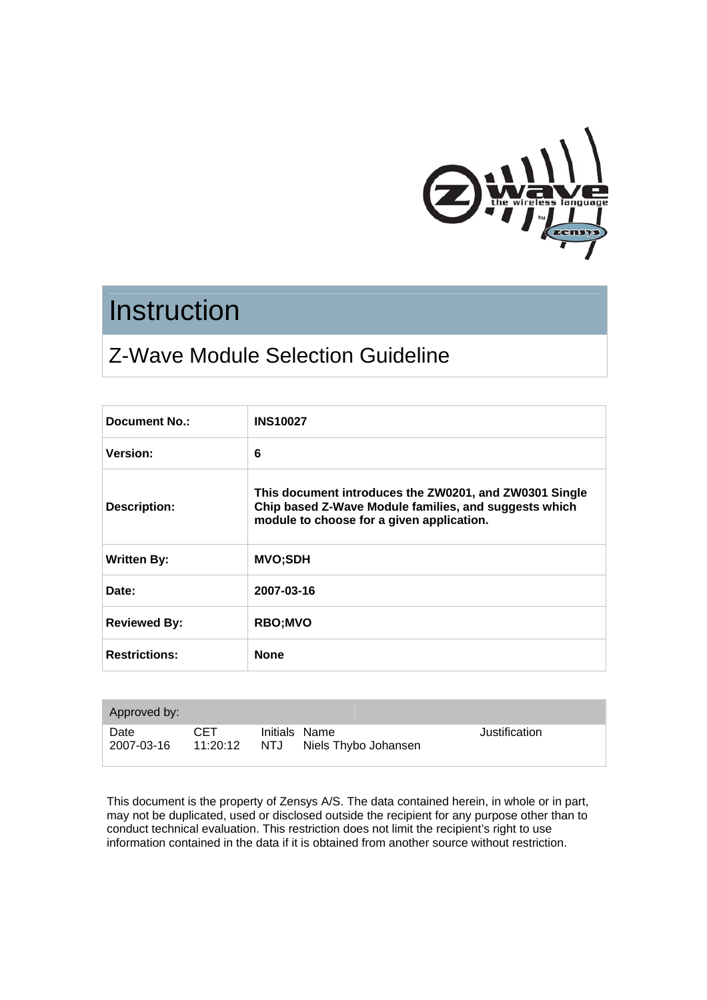

# **Instruction**

# Z-Wave Module Selection Guideline

| Document No.:        | <b>INS10027</b>                                                                                                                                              |
|----------------------|--------------------------------------------------------------------------------------------------------------------------------------------------------------|
| Version:             | 6                                                                                                                                                            |
| <b>Description:</b>  | This document introduces the ZW0201, and ZW0301 Single<br>Chip based Z-Wave Module families, and suggests which<br>module to choose for a given application. |
| <b>Written By:</b>   | <b>MVO;SDH</b>                                                                                                                                               |
| Date:                | 2007-03-16                                                                                                                                                   |
| <b>Reviewed By:</b>  | <b>RBO;MVO</b>                                                                                                                                               |
| <b>Restrictions:</b> | <b>None</b>                                                                                                                                                  |

| Approved by:       |                  |     |                                       |               |
|--------------------|------------------|-----|---------------------------------------|---------------|
| Date<br>2007-03-16 | CET.<br>11:20:12 | NTJ | Initials Name<br>Niels Thybo Johansen | Justification |

This document is the property of Zensys A/S. The data contained herein, in whole or in part, may not be duplicated, used or disclosed outside the recipient for any purpose other than to conduct technical evaluation. This restriction does not limit the recipient's right to use information contained in the data if it is obtained from another source without restriction.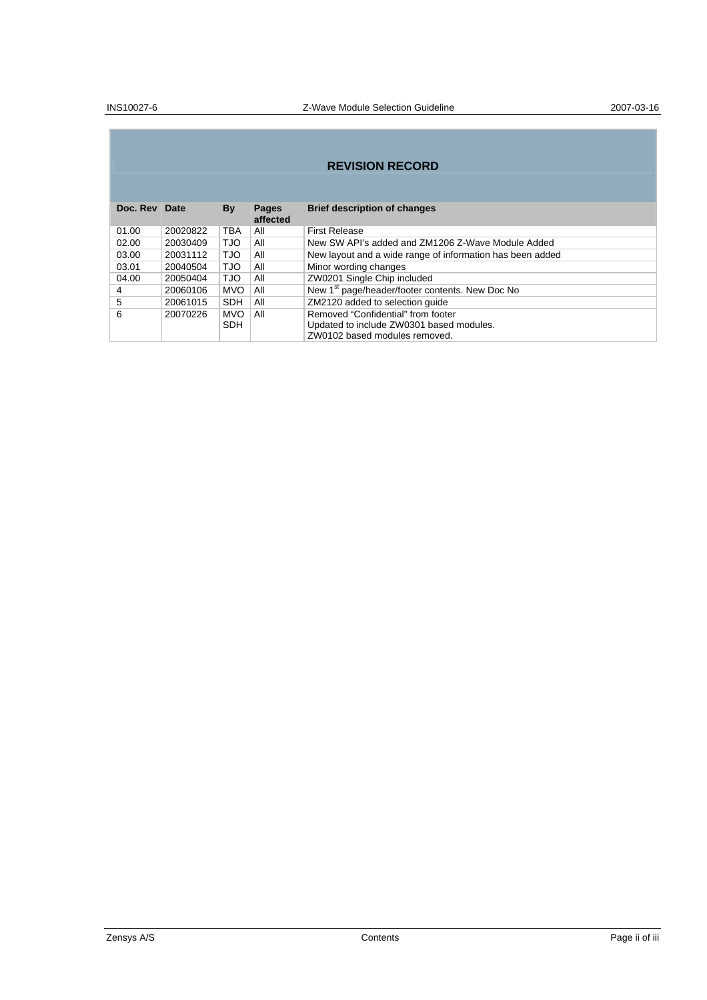#### **REVISION RECORD**

| Doc. Rev Date |          | By         | <b>Pages</b><br>affected | <b>Brief description of changes</b>                         |
|---------------|----------|------------|--------------------------|-------------------------------------------------------------|
| 01.00         | 20020822 | <b>TBA</b> | All                      | <b>First Release</b>                                        |
| 02.00         | 20030409 | <b>OLT</b> | All                      | New SW API's added and ZM1206 Z-Wave Module Added           |
| 03.00         | 20031112 | <b>TJO</b> | All                      | New layout and a wide range of information has been added   |
| 03.01         | 20040504 | <b>OLT</b> | All                      | Minor wording changes                                       |
| 04.00         | 20050404 | <b>OLT</b> | All                      | ZW0201 Single Chip included                                 |
| 4             | 20060106 | <b>MVO</b> | All                      | New 1 <sup>st</sup> page/header/footer contents. New Doc No |
| 5             | 20061015 | <b>SDH</b> | All                      | ZM2120 added to selection guide                             |
| 6             | 20070226 | <b>MVO</b> | All                      | Removed "Confidential" from footer                          |
|               |          | <b>SDH</b> |                          | Updated to include ZW0301 based modules.                    |
|               |          |            |                          | ZW0102 based modules removed.                               |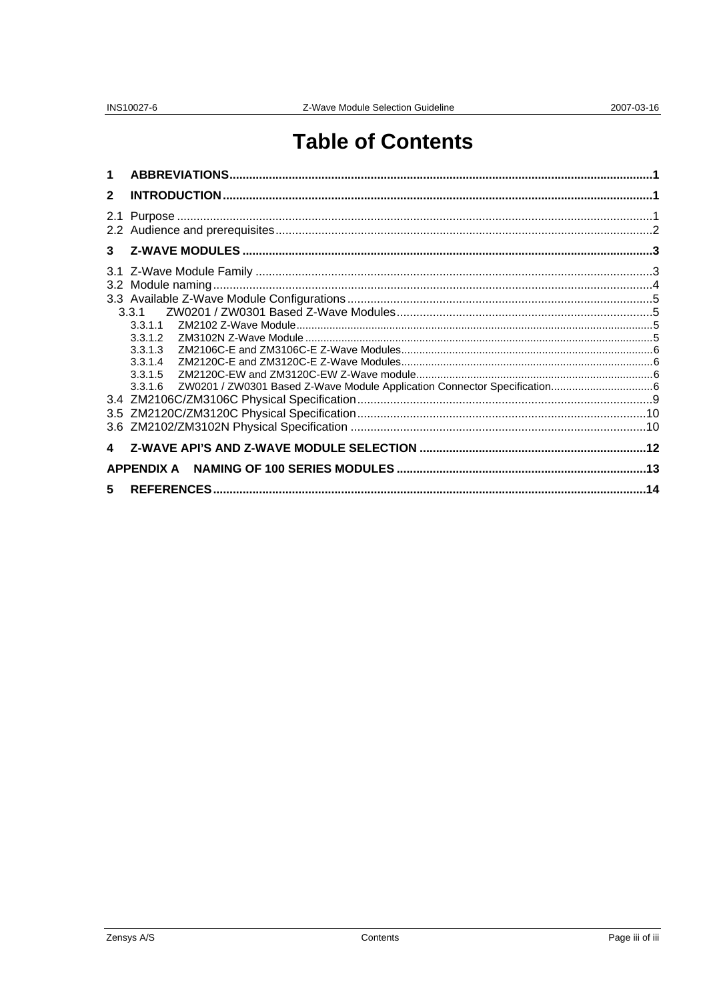# **Table of Contents**

| $\mathbf 1$  |                                          |  |
|--------------|------------------------------------------|--|
| $\mathbf{2}$ |                                          |  |
|              |                                          |  |
|              |                                          |  |
|              | 3.3.1.2<br>3.3.1.3<br>3.3.1.4<br>3.3.1.5 |  |
|              |                                          |  |
|              |                                          |  |
| $5 -$        |                                          |  |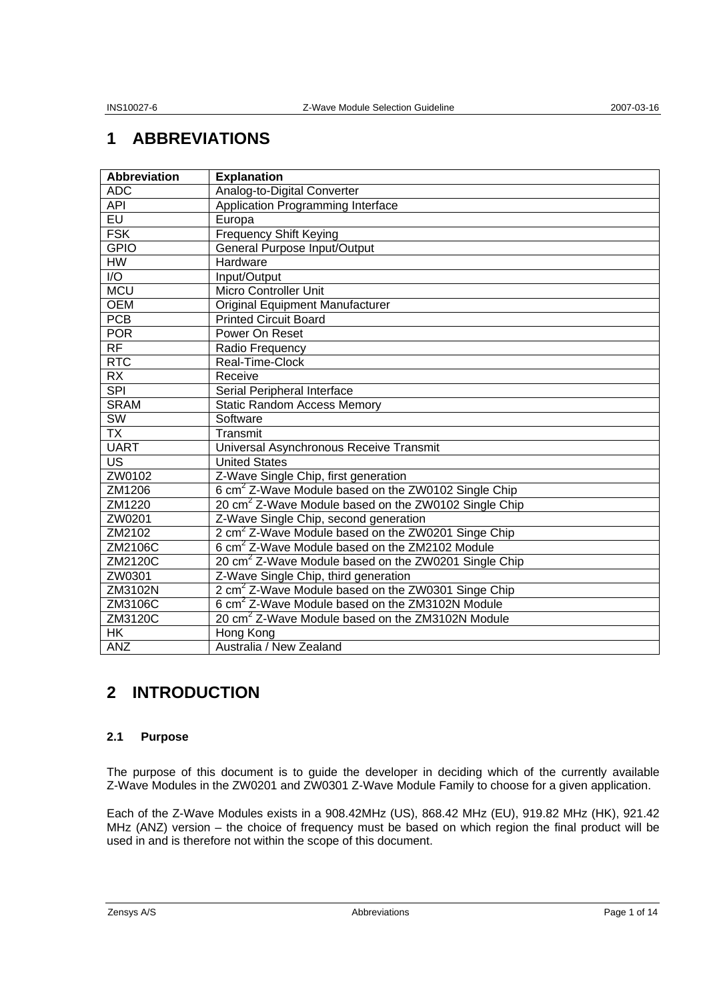## **1 ABBREVIATIONS**

| <b>Abbreviation</b> | <b>Explanation</b>                                               |
|---------------------|------------------------------------------------------------------|
| <b>ADC</b>          | Analog-to-Digital Converter                                      |
| <b>API</b>          | Application Programming Interface                                |
| EU                  | Europa                                                           |
| <b>FSK</b>          | <b>Frequency Shift Keying</b>                                    |
| <b>GPIO</b>         | General Purpose Input/Output                                     |
| <b>HW</b>           | Hardware                                                         |
| $\overline{1/O}$    | Input/Output                                                     |
| <b>MCU</b>          | Micro Controller Unit                                            |
| <b>OEM</b>          | <b>Original Equipment Manufacturer</b>                           |
| <b>PCB</b>          | <b>Printed Circuit Board</b>                                     |
| <b>POR</b>          | Power On Reset                                                   |
| $\overline{RF}$     | Radio Frequency                                                  |
| <b>RTC</b>          | Real-Time-Clock                                                  |
| <b>RX</b>           | Receive                                                          |
| <b>SPI</b>          | Serial Peripheral Interface                                      |
| <b>SRAM</b>         | <b>Static Random Access Memory</b>                               |
| SW                  | Software                                                         |
| <b>TX</b>           | Transmit                                                         |
| <b>UART</b>         | Universal Asynchronous Receive Transmit                          |
| <b>US</b>           | <b>United States</b>                                             |
| ZW0102              | Z-Wave Single Chip, first generation                             |
| ZM1206              | 6 cm <sup>2</sup> Z-Wave Module based on the ZW0102 Single Chip  |
| ZM1220              | 20 cm <sup>2</sup> Z-Wave Module based on the ZW0102 Single Chip |
| ZW0201              | Z-Wave Single Chip, second generation                            |
| ZM2102              | 2 cm <sup>2</sup> Z-Wave Module based on the ZW0201 Singe Chip   |
| ZM2106C             | 6 cm <sup>2</sup> Z-Wave Module based on the ZM2102 Module       |
| ZM2120C             | 20 cm <sup>2</sup> Z-Wave Module based on the ZW0201 Single Chip |
| ZW0301              | Z-Wave Single Chip, third generation                             |
| ZM3102N             | 2 cm <sup>2</sup> Z-Wave Module based on the ZW0301 Singe Chip   |
| ZM3106C             | 6 cm <sup>2</sup> Z-Wave Module based on the ZM3102N Module      |
| ZM3120C             | 20 cm <sup>2</sup> Z-Wave Module based on the ZM3102N Module     |
| <b>HK</b>           | Hong Kong                                                        |
| <b>ANZ</b>          | Australia / New Zealand                                          |

### **2 INTRODUCTION**

#### **2.1 Purpose**

The purpose of this document is to guide the developer in deciding which of the currently available Z-Wave Modules in the ZW0201 and ZW0301 Z-Wave Module Family to choose for a given application.

Each of the Z-Wave Modules exists in a 908.42MHz (US), 868.42 MHz (EU), 919.82 MHz (HK), 921.42 MHz (ANZ) version – the choice of frequency must be based on which region the final product will be used in and is therefore not within the scope of this document.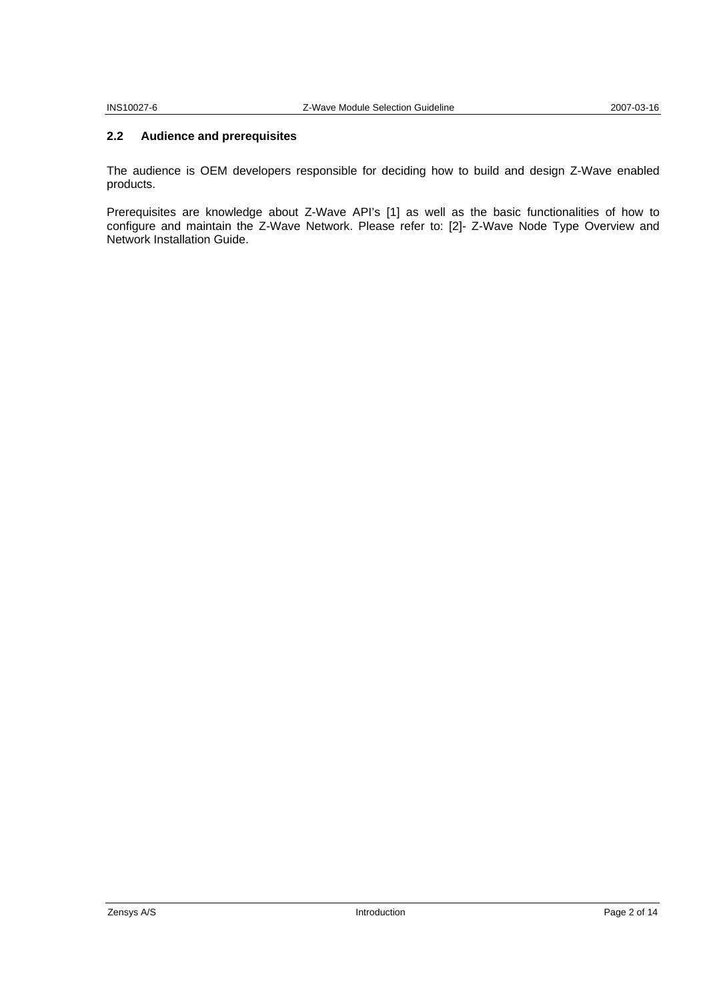#### **2.2 Audience and prerequisites**

The audience is OEM developers responsible for deciding how to build and design Z-Wave enabled products.

Prerequisites are knowledge about Z-Wave API's [1] as well as the basic functionalities of how to configure and maintain the Z-Wave Network. Please refer to: [2]- Z-Wave Node Type Overview and Network Installation Guide.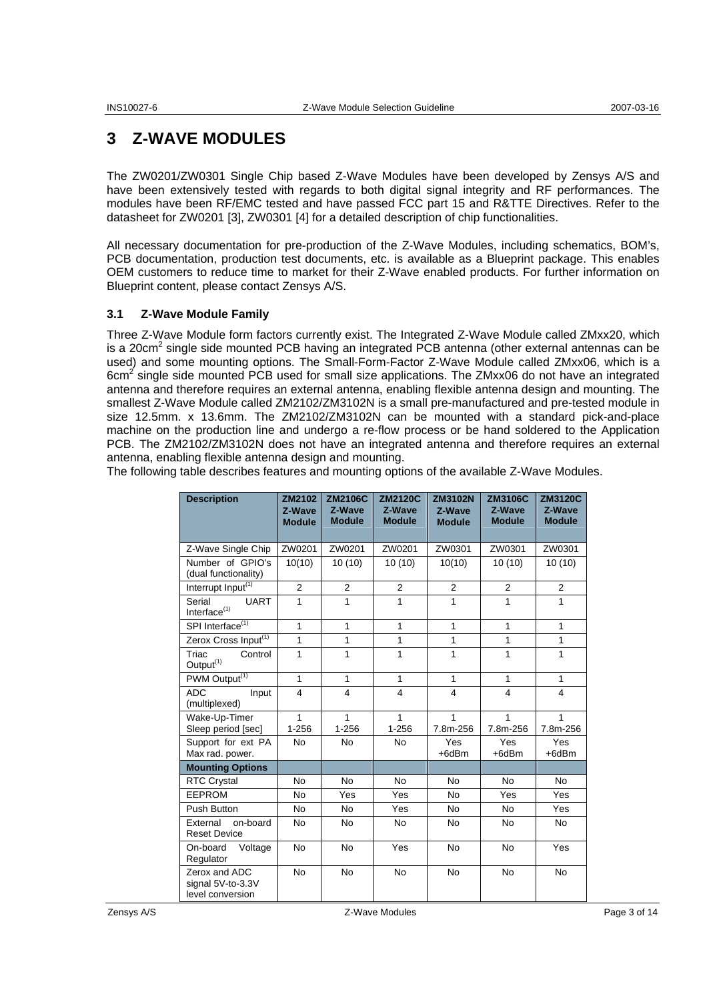## **3 Z-WAVE MODULES**

The ZW0201/ZW0301 Single Chip based Z-Wave Modules have been developed by Zensys A/S and have been extensively tested with regards to both digital signal integrity and RF performances. The modules have been RF/EMC tested and have passed FCC part 15 and R&TTE Directives. Refer to the datasheet for ZW0201 [3], ZW0301 [4] for a detailed description of chip functionalities.

All necessary documentation for pre-production of the Z-Wave Modules, including schematics, BOM's, PCB documentation, production test documents, etc. is available as a Blueprint package. This enables OEM customers to reduce time to market for their Z-Wave enabled products. For further information on Blueprint content, please contact Zensys A/S.

#### **3.1 Z-Wave Module Family**

Three Z-Wave Module form factors currently exist. The Integrated Z-Wave Module called ZMxx20, which is a 20 $cm<sup>2</sup>$  single side mounted PCB having an integrated PCB antenna (other external antennas can be used) and some mounting options. The Small-Form-Factor Z-Wave Module called ZMxx06, which is a 6cm<sup>2</sup> single side mounted PCB used for small size applications. The ZMxx06 do not have an integrated antenna and therefore requires an external antenna, enabling flexible antenna design and mounting. The smallest Z-Wave Module called ZM2102/ZM3102N is a small pre-manufactured and pre-tested module in size 12.5mm. x 13.6mm. The ZM2102/ZM3102N can be mounted with a standard pick-and-place machine on the production line and undergo a re-flow process or be hand soldered to the Application PCB. The ZM2102/ZM3102N does not have an integrated antenna and therefore requires an external antenna, enabling flexible antenna design and mounting.

| <b>Description</b>                                     | ZM2102<br>Z-Wave<br><b>Module</b> | <b>ZM2106C</b><br>Z-Wave<br><b>Module</b> | <b>ZM2120C</b><br>Z-Wave<br><b>Module</b> | <b>ZM3102N</b><br>Z-Wave<br><b>Module</b> | <b>ZM3106C</b><br>Z-Wave<br><b>Module</b> | <b>ZM3120C</b><br>Z-Wave<br><b>Module</b> |
|--------------------------------------------------------|-----------------------------------|-------------------------------------------|-------------------------------------------|-------------------------------------------|-------------------------------------------|-------------------------------------------|
| Z-Wave Single Chip                                     | ZW0201                            | ZW0201                                    | ZW0201                                    | ZW0301                                    | ZW0301                                    | ZW0301                                    |
| Number of GPIO's<br>(dual functionality)               | 10(10)                            | 10(10)                                    | 10(10)                                    | 10(10)                                    | 10(10)                                    | 10(10)                                    |
| Interrupt Input <sup>(1)</sup>                         | 2                                 | $\overline{2}$                            | $\overline{2}$                            | $\overline{2}$                            | $\overline{2}$                            | 2                                         |
| Serial<br><b>UART</b><br>Interface <sup>(1)</sup>      | 1                                 | $\mathbf{1}$                              | 1                                         | $\mathbf{1}$                              | 1                                         | 1                                         |
| SPI Interface <sup>(1)</sup>                           | $\mathbf{1}$                      | $\mathbf{1}$                              | 1                                         | $\mathbf{1}$                              | 1                                         | $\mathbf{1}$                              |
| Zerox Cross Input <sup>(1)</sup>                       | 1                                 | $\mathbf{1}$                              | 1                                         | $\mathbf{1}$                              | 1                                         | $\mathbf{1}$                              |
| Triac<br>Control<br>Output <sup>(1)</sup>              | 1                                 | $\mathbf{1}$                              | 1                                         | $\mathbf{1}$                              | 1                                         | $\mathbf{1}$                              |
| PWM Output <sup>(1)</sup>                              | 1                                 | 1                                         | 1                                         | 1                                         | 1                                         | $\mathbf{1}$                              |
| <b>ADC</b><br>Input<br>(multiplexed)                   | $\overline{\mathbf{4}}$           | $\overline{4}$                            | 4                                         | 4                                         | 4                                         | 4                                         |
| Wake-Up-Timer<br>Sleep period [sec]                    | 1<br>$1 - 256$                    | 1<br>1-256                                | 1<br>$1 - 256$                            | 1<br>7.8m-256                             | 1<br>7.8m-256                             | 1<br>7.8m-256                             |
| Support for ext PA<br>Max rad. power.                  | <b>No</b>                         | <b>No</b>                                 | <b>No</b>                                 | Yes<br>+6dBm                              | Yes<br>$+6dBr$                            | <b>Yes</b><br>$+6dBr$                     |
| <b>Mounting Options</b>                                |                                   |                                           |                                           |                                           |                                           |                                           |
| <b>RTC Crystal</b>                                     | <b>No</b>                         | <b>No</b>                                 | <b>No</b>                                 | <b>No</b>                                 | <b>No</b>                                 | <b>No</b>                                 |
| <b>EEPROM</b>                                          | <b>No</b>                         | Yes                                       | Yes                                       | <b>No</b>                                 | Yes                                       | Yes                                       |
| Push Button                                            | <b>No</b>                         | <b>No</b>                                 | Yes                                       | <b>No</b>                                 | <b>No</b>                                 | Yes                                       |
| on-board<br>External<br><b>Reset Device</b>            | <b>No</b>                         | <b>No</b>                                 | <b>No</b>                                 | <b>No</b>                                 | <b>No</b>                                 | <b>No</b>                                 |
| Voltage<br>On-board<br>Regulator                       | <b>No</b>                         | <b>No</b>                                 | Yes                                       | <b>No</b>                                 | <b>No</b>                                 | Yes                                       |
| Zerox and ADC<br>signal 5V-to-3.3V<br>level conversion | <b>No</b>                         | <b>No</b>                                 | <b>No</b>                                 | <b>No</b>                                 | <b>No</b>                                 | <b>No</b>                                 |

The following table describes features and mounting options of the available Z-Wave Modules.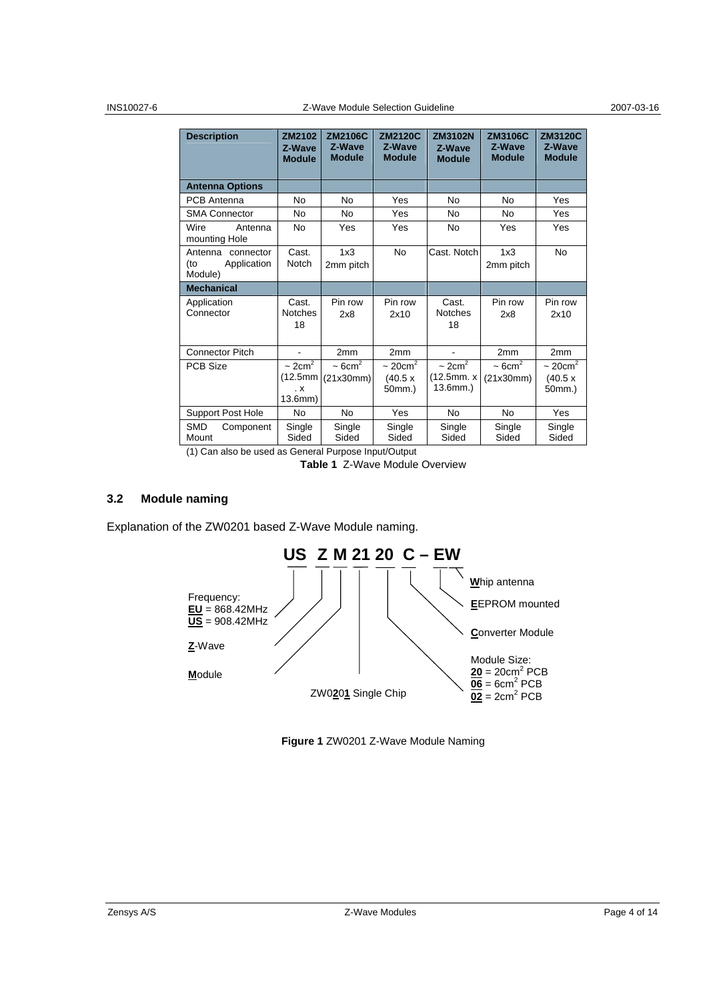#### INS10027-6 Z-Wave Module Selection Guideline 2007-03-16

| <b>Description</b>                                    | ZM2102<br>Z-Wave<br><b>Module</b>                        | <b>ZM2106C</b><br>Z-Wave<br><b>Module</b> | <b>ZM2120C</b><br>Z-Wave<br><b>Module</b>   | <b>ZM3102N</b><br>Z-Wave<br><b>Module</b>          | ZM3106C<br>Z-Wave<br><b>Module</b>   | <b>ZM3120C</b><br>Z-Wave<br><b>Module</b>   |
|-------------------------------------------------------|----------------------------------------------------------|-------------------------------------------|---------------------------------------------|----------------------------------------------------|--------------------------------------|---------------------------------------------|
| <b>Antenna Options</b>                                |                                                          |                                           |                                             |                                                    |                                      |                                             |
| <b>PCB</b> Antenna                                    | No                                                       | <b>No</b>                                 | Yes                                         | <b>No</b>                                          | <b>No</b>                            | Yes                                         |
| <b>SMA Connector</b>                                  | No                                                       | No                                        | Yes                                         | <b>No</b>                                          | <b>No</b>                            | Yes                                         |
| Wire<br>Antenna<br>mounting Hole                      | No                                                       | Yes                                       | Yes                                         | <b>No</b>                                          | Yes                                  | Yes                                         |
| Antenna<br>connector<br>Application<br>(to<br>Module) | Cast.<br>Notch                                           | 1x3<br>2mm pitch                          | <b>No</b>                                   | Cast. Notch                                        | 1x3<br>2mm pitch                     | <b>No</b>                                   |
| <b>Mechanical</b>                                     |                                                          |                                           |                                             |                                                    |                                      |                                             |
| Application<br>Connector                              | Cast.<br><b>Notches</b><br>18                            | Pin row<br>2x8                            | Pin row<br>2x10                             | Cast.<br><b>Notches</b><br>18                      | Pin row<br>2x8                       | Pin row<br>2x10                             |
| <b>Connector Pitch</b>                                |                                                          | 2mm                                       | 2mm                                         |                                                    | 2mm                                  | 2mm                                         |
| <b>PCB Size</b>                                       | $\sim 2 \text{cm}^2$<br>(12.5mm)<br>$\cdot$ X<br>13.6mm) | $\sim$ 6cm <sup>2</sup><br>(21x30mm)      | $\sim 20 \text{cm}^2$<br>(40.5 x)<br>50mm.) | $\sim 2 \text{cm}^2$<br>(12.5mm. x)<br>$13.6mm.$ ) | $\sim$ 6cm <sup>2</sup><br>(21x30mm) | $\sim 20 \text{cm}^2$<br>(40.5 x)<br>50mm.) |
| <b>Support Post Hole</b>                              | No                                                       | <b>No</b>                                 | Yes                                         | <b>No</b>                                          | <b>No</b>                            | Yes                                         |
| <b>SMD</b><br>Component<br>Mount                      | Single<br>Sided                                          | Single<br>Sided                           | Single<br>Sided                             | Single<br>Sided                                    | Single<br>Sided                      | Single<br>Sided                             |

(1) Can also be used as General Purpose Input/Output

**Table 1** Z-Wave Module Overview

#### **3.2 Module naming**

Explanation of the ZW0201 based Z-Wave Module naming.



**Figure 1** ZW0201 Z-Wave Module Naming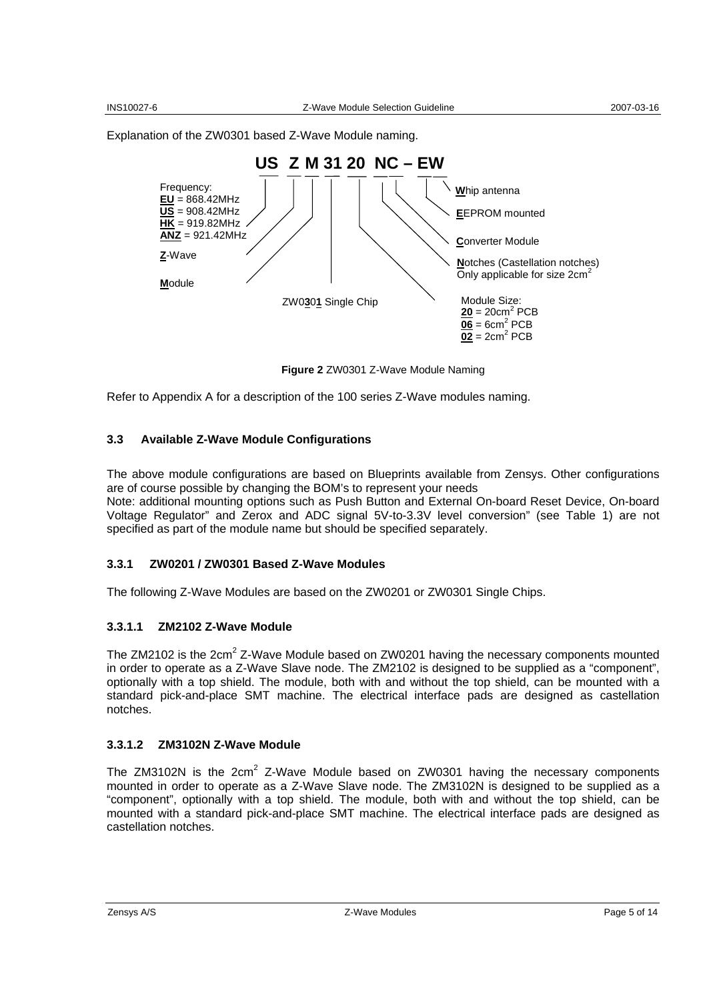Explanation of the ZW0301 based Z-Wave Module naming.



**Figure 2** ZW0301 Z-Wave Module Naming

Refer to Appendix A for a description of the 100 series Z-Wave modules naming.

#### **3.3 Available Z-Wave Module Configurations**

The above module configurations are based on Blueprints available from Zensys. Other configurations are of course possible by changing the BOM's to represent your needs

Note: additional mounting options such as Push Button and External On-board Reset Device, On-board Voltage Regulator" and Zerox and ADC signal 5V-to-3.3V level conversion" (see Table 1) are not specified as part of the module name but should be specified separately.

#### **3.3.1 ZW0201 / ZW0301 Based Z-Wave Modules**

The following Z-Wave Modules are based on the ZW0201 or ZW0301 Single Chips.

#### **3.3.1.1 ZM2102 Z-Wave Module**

The ZM2102 is the 2cm<sup>2</sup> Z-Wave Module based on ZW0201 having the necessary components mounted in order to operate as a Z-Wave Slave node. The ZM2102 is designed to be supplied as a "component", optionally with a top shield. The module, both with and without the top shield, can be mounted with a standard pick-and-place SMT machine. The electrical interface pads are designed as castellation notches.

#### **3.3.1.2 ZM3102N Z-Wave Module**

The ZM3102N is the  $2cm^2$  Z-Wave Module based on ZW0301 having the necessary components mounted in order to operate as a Z-Wave Slave node. The ZM3102N is designed to be supplied as a "component", optionally with a top shield. The module, both with and without the top shield, can be mounted with a standard pick-and-place SMT machine. The electrical interface pads are designed as castellation notches.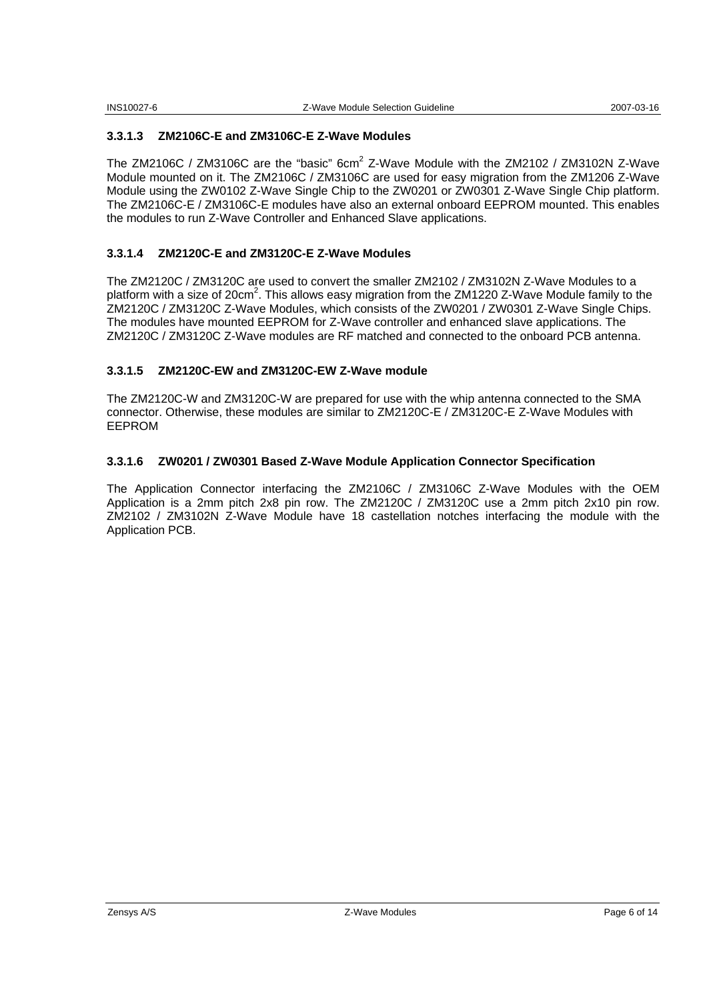#### **3.3.1.3 ZM2106C-E and ZM3106C-E Z-Wave Modules**

The ZM2106C / ZM3106C are the "basic"  $6cm^2$  Z-Wave Module with the ZM2102 / ZM3102N Z-Wave Module mounted on it. The ZM2106C / ZM3106C are used for easy migration from the ZM1206 Z-Wave Module using the ZW0102 Z-Wave Single Chip to the ZW0201 or ZW0301 Z-Wave Single Chip platform. The ZM2106C-E / ZM3106C-E modules have also an external onboard EEPROM mounted. This enables the modules to run Z-Wave Controller and Enhanced Slave applications.

#### **3.3.1.4 ZM2120C-E and ZM3120C-E Z-Wave Modules**

The ZM2120C / ZM3120C are used to convert the smaller ZM2102 / ZM3102N Z-Wave Modules to a platform with a size of 20cm<sup>2</sup>. This allows easy migration from the ZM1220 Z-Wave Module family to the ZM2120C / ZM3120C Z-Wave Modules, which consists of the ZW0201 / ZW0301 Z-Wave Single Chips. The modules have mounted EEPROM for Z-Wave controller and enhanced slave applications. The ZM2120C / ZM3120C Z-Wave modules are RF matched and connected to the onboard PCB antenna.

#### **3.3.1.5 ZM2120C-EW and ZM3120C-EW Z-Wave module**

The ZM2120C-W and ZM3120C-W are prepared for use with the whip antenna connected to the SMA connector. Otherwise, these modules are similar to ZM2120C-E / ZM3120C-E Z-Wave Modules with EEPROM

#### **3.3.1.6 ZW0201 / ZW0301 Based Z-Wave Module Application Connector Specification**

The Application Connector interfacing the ZM2106C / ZM3106C Z-Wave Modules with the OEM Application is a 2mm pitch 2x8 pin row. The ZM2120C / ZM3120C use a 2mm pitch 2x10 pin row. ZM2102 / ZM3102N Z-Wave Module have 18 castellation notches interfacing the module with the Application PCB.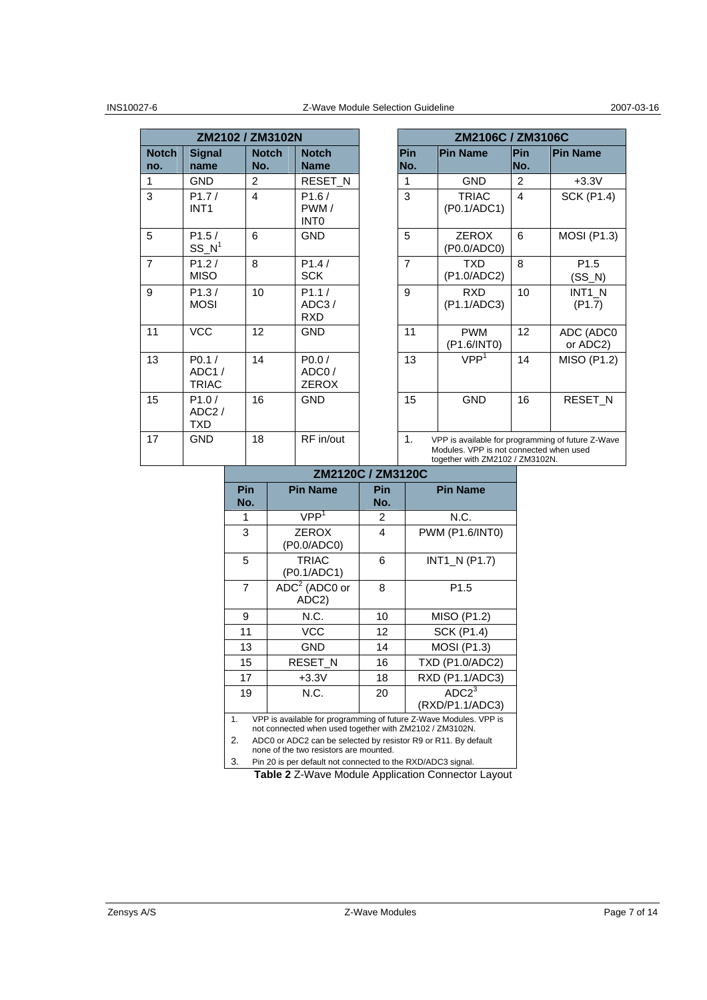|                     | ZM2102 / ZM3102N                          |                     |                                           |                   | ZM2106C / ZM3106C                                                                                                               |                |
|---------------------|-------------------------------------------|---------------------|-------------------------------------------|-------------------|---------------------------------------------------------------------------------------------------------------------------------|----------------|
| <b>Notch</b><br>no. | <b>Signal</b><br>name                     | <b>Notch</b><br>No. | <b>Notch</b><br><b>Name</b>               | <b>Pin</b><br>No. | <b>Pin Name</b>                                                                                                                 | Pin<br>No.     |
| 1                   | <b>GND</b>                                | 2                   | <b>RESET N</b>                            | 1                 | <b>GND</b>                                                                                                                      | $\overline{2}$ |
| 3                   | P1.7/<br>INT <sub>1</sub>                 | $\overline{4}$      | P1.6/<br>PWM/<br><b>INTO</b>              | 3                 | <b>TRIAC</b><br>(P0.1/ADC1)                                                                                                     | $\overline{4}$ |
| 5                   | P1.5/<br>$SS_N^1$                         | 6                   | <b>GND</b>                                | 5                 | <b>ZEROX</b><br>(P0.0/ADC0)                                                                                                     | 6              |
| $\overline{7}$      | P1.2/<br><b>MISO</b>                      | 8                   | P1.4/<br><b>SCK</b>                       | $\overline{7}$    | <b>TXD</b><br>(P1.0/ADC2)                                                                                                       | 8              |
| 9                   | P1.3/<br><b>MOSI</b>                      | 10                  | P1.1/<br>ADC3/<br><b>RXD</b>              | 9                 | <b>RXD</b><br>(P1.1/ADC3)                                                                                                       | 10             |
| 11                  | <b>VCC</b>                                | 12                  | <b>GND</b>                                | 11                | <b>PWM</b><br>(P1.6/INT0)                                                                                                       | 12             |
| 13                  | P0.1/<br>ADC1/<br><b>TRIAC</b>            | 14                  | P <sub>0.0</sub><br>ADC0/<br><b>ZEROX</b> | 13                | VPP <sup>1</sup>                                                                                                                | 14             |
| 15                  | P1.0/<br>ADC <sub>2</sub> /<br><b>TXD</b> | 16                  | <b>GND</b>                                | 15                | <b>GND</b>                                                                                                                      | 16             |
| 17                  | <b>GND</b>                                | 18                  | RF in/out                                 | 1 <sub>1</sub>    | VPP is available for programming of future Z-Wave<br>Modules. VPP is not connected when used<br>together with ZM2102 / ZM3102N. |                |

|                                     | ZM2102 / ZM3102N        |                                |                | ZM2106C / ZM3106C                                                                                     |                         |                 |
|-------------------------------------|-------------------------|--------------------------------|----------------|-------------------------------------------------------------------------------------------------------|-------------------------|-----------------|
| iqnal<br>ame                        | <b>Notch</b><br>No.     | <b>Notch</b><br><b>Name</b>    | Pin<br>No.     | <b>Pin Name</b>                                                                                       | Pin<br>No.              | <b>Pin Name</b> |
| ND                                  | 2                       | <b>RESET N</b>                 | 1              | <b>GND</b>                                                                                            | 2                       |                 |
| 1.7/<br>JT1                         | $\overline{\mathbf{4}}$ | P1.6/<br>PWM/<br><b>INTO</b>   | 3              | <b>TRIAC</b><br>(P0.1/ADC1)                                                                           | $\overline{\mathbf{4}}$ |                 |
| 1.5/<br>$\mathsf{S}\_ \mathsf{N}^1$ | 6                       | <b>GND</b>                     | 5              | <b>ZEROX</b><br>(P0.0/ADC0)                                                                           | 6                       |                 |
| 1.2/<br>11 so                       | 8                       | P1.4/<br><b>SCK</b>            | $\overline{7}$ | <b>TXD</b><br>(P1.0/ADC2)                                                                             | 8                       |                 |
| 1.3/<br>IOSI                        | 10                      | P1.1/<br>ADC3/<br><b>RXD</b>   | 9              | <b>RXD</b><br>(P1.1/ADC3)                                                                             | 10                      |                 |
| СC                                  | 12                      | <b>GND</b>                     | 11             | <b>PWM</b><br>(P1.6/INT0)                                                                             | 12                      |                 |
| 0.1 /<br>DC1 /<br>RIAC              | 14                      | P0.0/<br>ADC0/<br><b>ZEROX</b> | 13             | VPP <sup>1</sup>                                                                                      | 14                      |                 |
| 1.0/<br>DC2 /<br>XD                 | 16                      | <b>GND</b>                     | 15             | <b>GND</b>                                                                                            | 16                      |                 |
| ND.                                 | 18                      | RF in/out                      | $\mathbf{1}$ . | VPP is available for programming of future Z-Wave<br>Madulae, MBB to act composed unless constitution |                         |                 |

#### **ZM2120C / ZM3120C**

| <b>Pin</b> | <b>Pin Name</b>                                                                                                              | Pin | <b>Pin Name</b>        |  |  |  |  |
|------------|------------------------------------------------------------------------------------------------------------------------------|-----|------------------------|--|--|--|--|
| No.        |                                                                                                                              | No. |                        |  |  |  |  |
| 1          | VPP <sup>1</sup>                                                                                                             | 2   | N.C.                   |  |  |  |  |
| 3          | <b>ZEROX</b>                                                                                                                 | 4   | PWM (P1.6/INT0)        |  |  |  |  |
|            | (P0.0/ADC0)                                                                                                                  |     |                        |  |  |  |  |
| 5          | <b>TRIAC</b>                                                                                                                 | 6   | INT1 N (P1.7)          |  |  |  |  |
|            | (P0.1/ADC1)                                                                                                                  |     |                        |  |  |  |  |
| 7          | $ADC2$ (ADC0 or                                                                                                              | 8   | P <sub>1.5</sub>       |  |  |  |  |
|            | ADC2)                                                                                                                        |     |                        |  |  |  |  |
| 9          | N.C.                                                                                                                         | 10  | MISO (P1.2)            |  |  |  |  |
| 11         | <b>VCC</b>                                                                                                                   |     | <b>SCK (P1.4)</b>      |  |  |  |  |
| 13         | <b>GND</b>                                                                                                                   | 14  | <b>MOSI (P1.3)</b>     |  |  |  |  |
| 15         | RESET_N                                                                                                                      | 16  | <b>TXD (P1.0/ADC2)</b> |  |  |  |  |
| 17         | $+3.3V$                                                                                                                      | 18  | RXD (P1.1/ADC3)        |  |  |  |  |
| 19         | N.C.                                                                                                                         | 20  | ADC <sup>3</sup>       |  |  |  |  |
|            |                                                                                                                              |     | (RXD/P1.1/ADC3)        |  |  |  |  |
| 1.         | VPP is available for programming of future Z-Wave Modules. VPP is<br>not connected when used together with ZM2102 / ZM3102N. |     |                        |  |  |  |  |
| 2.         | ADC0 or ADC2 can be selected by resistor R9 or R11. By default                                                               |     |                        |  |  |  |  |
|            | none of the two resistors are mounted.                                                                                       |     |                        |  |  |  |  |

3. Pin 20 is per default not connected to the RXD/ADC3 signal.

**Table 2** Z-Wave Module Application Connector Layout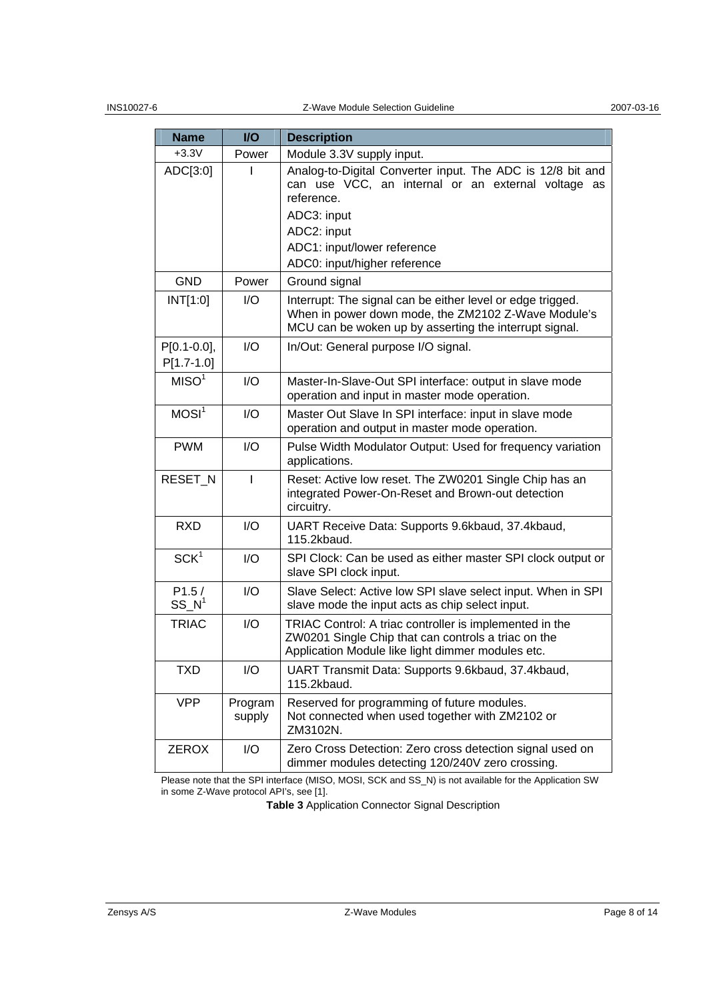| <b>Name</b>                   | <b>I/O</b>        | <b>Description</b>                                                                                                                                                                                                          |
|-------------------------------|-------------------|-----------------------------------------------------------------------------------------------------------------------------------------------------------------------------------------------------------------------------|
| $+3.3V$                       | Power             | Module 3.3V supply input.                                                                                                                                                                                                   |
| ADC[3:0]                      |                   | Analog-to-Digital Converter input. The ADC is 12/8 bit and<br>can use VCC, an internal or an external voltage as<br>reference.<br>ADC3: input<br>ADC2: input<br>ADC1: input/lower reference<br>ADC0: input/higher reference |
| <b>GND</b>                    | Power             | Ground signal                                                                                                                                                                                                               |
| INT[1:0]                      | I/O               | Interrupt: The signal can be either level or edge trigged.<br>When in power down mode, the ZM2102 Z-Wave Module's<br>MCU can be woken up by asserting the interrupt signal.                                                 |
| $P[0.1-0.0],$<br>$P[1.7-1.0]$ | I/O               | In/Out: General purpose I/O signal.                                                                                                                                                                                         |
| MISO <sup>1</sup>             | I/O               | Master-In-Slave-Out SPI interface: output in slave mode<br>operation and input in master mode operation.                                                                                                                    |
| MOSI <sup>1</sup>             | I/O               | Master Out Slave In SPI interface: input in slave mode<br>operation and output in master mode operation.                                                                                                                    |
| <b>PWM</b>                    | I/O               | Pulse Width Modulator Output: Used for frequency variation<br>applications.                                                                                                                                                 |
| RESET_N                       | T                 | Reset: Active low reset. The ZW0201 Single Chip has an<br>integrated Power-On-Reset and Brown-out detection<br>circuitry.                                                                                                   |
| <b>RXD</b>                    | I/O               | UART Receive Data: Supports 9.6kbaud, 37.4kbaud,<br>115.2kbaud.                                                                                                                                                             |
| SCK <sup>1</sup>              | I/O               | SPI Clock: Can be used as either master SPI clock output or<br>slave SPI clock input.                                                                                                                                       |
| P1.5/<br>$SS\ N^1$            | I/O               | Slave Select: Active low SPI slave select input. When in SPI<br>slave mode the input acts as chip select input.                                                                                                             |
| <b>TRIAC</b>                  | I/O               | TRIAC Control: A triac controller is implemented in the<br>ZW0201 Single Chip that can controls a triac on the<br>Application Module like light dimmer modules etc.                                                         |
| <b>TXD</b>                    | I/O               | UART Transmit Data: Supports 9.6kbaud, 37.4kbaud,<br>115.2kbaud.                                                                                                                                                            |
| <b>VPP</b>                    | Program<br>supply | Reserved for programming of future modules.<br>Not connected when used together with ZM2102 or<br>ZM3102N.                                                                                                                  |
| <b>ZEROX</b>                  | I/O               | Zero Cross Detection: Zero cross detection signal used on<br>dimmer modules detecting 120/240V zero crossing.                                                                                                               |

Please note that the SPI interface (MISO, MOSI, SCK and SS\_N) is not available for the Application SW in some Z-Wave protocol API's, see [1].

**Table 3** Application Connector Signal Description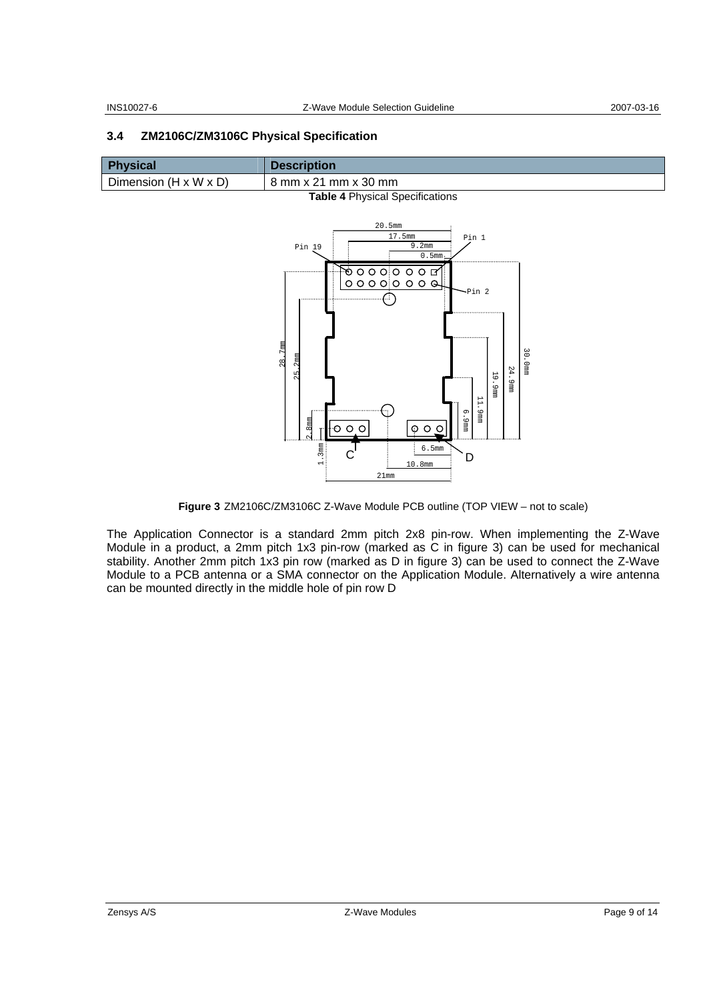#### **3.4 ZM2106C/ZM3106C Physical Specification**

| Physical                        | <b>Description</b>   |  |
|---------------------------------|----------------------|--|
| Dimension (H x W x D)           | 8 mm x 21 mm x 30 mm |  |
| Table & Dhuaisel Cassifications |                      |  |



**Figure 3** ZM2106C/ZM3106C Z-Wave Module PCB outline (TOP VIEW – not to scale)

The Application Connector is a standard 2mm pitch 2x8 pin-row. When implementing the Z-Wave Module in a product, a 2mm pitch 1x3 pin-row (marked as C in figure 3) can be used for mechanical stability. Another 2mm pitch 1x3 pin row (marked as D in figure 3) can be used to connect the Z-Wave Module to a PCB antenna or a SMA connector on the Application Module. Alternatively a wire antenna can be mounted directly in the middle hole of pin row D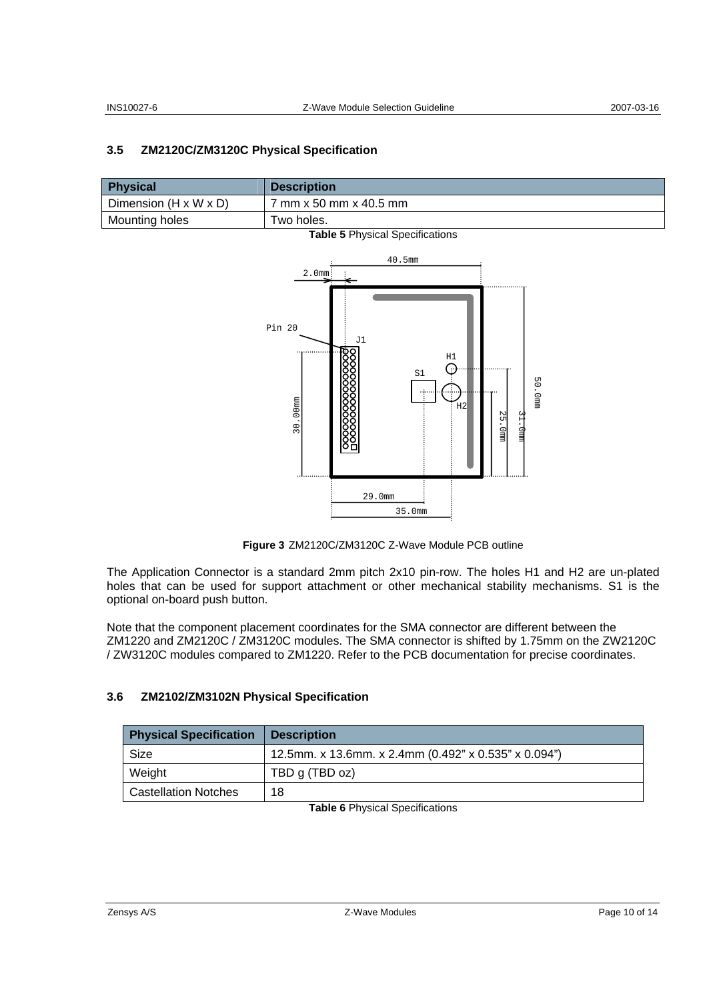### **3.5 ZM2120C/ZM3120C Physical Specification**

| <b>Physical</b>                   | <b>Description</b>                           |
|-----------------------------------|----------------------------------------------|
| Dimension $(H \times W \times D)$ | $^{\prime}$ mm x 50 mm x 40.5 mm $^{\prime}$ |
| Mounting holes                    | $\tau$ wo holes.                             |



**Figure 3** ZM2120C/ZM3120C Z-Wave Module PCB outline

The Application Connector is a standard 2mm pitch 2x10 pin-row. The holes H1 and H2 are un-plated holes that can be used for support attachment or other mechanical stability mechanisms. S1 is the optional on-board push button.

Note that the component placement coordinates for the SMA connector are different between the ZM1220 and ZM2120C / ZM3120C modules. The SMA connector is shifted by 1.75mm on the ZW2120C / ZW3120C modules compared to ZM1220. Refer to the PCB documentation for precise coordinates.

### **3.6 ZM2102/ZM3102N Physical Specification**

| <b>Physical Specification</b> | <b>Description</b>                                   |
|-------------------------------|------------------------------------------------------|
| Size                          | 12.5mm. x 13.6mm. x 2.4mm (0.492" x 0.535" x 0.094") |
| Weight                        | TBD g (TBD oz)                                       |
| <b>Castellation Notches</b>   | 18                                                   |

**Table 6** Physical Specifications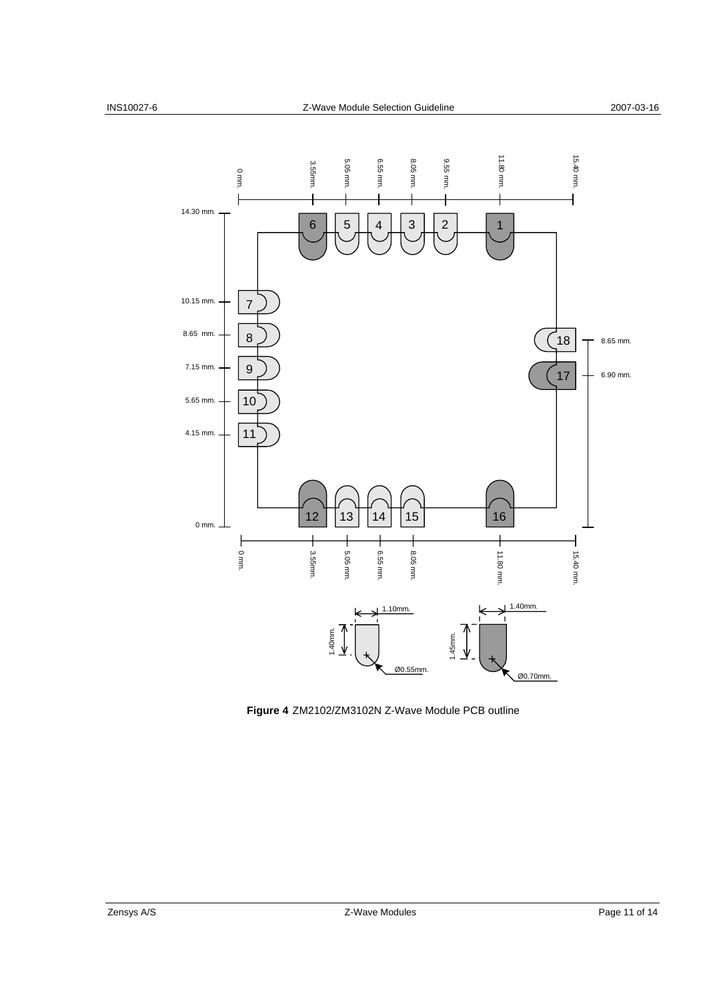

**Figure 4** ZM2102/ZM3102N Z-Wave Module PCB outline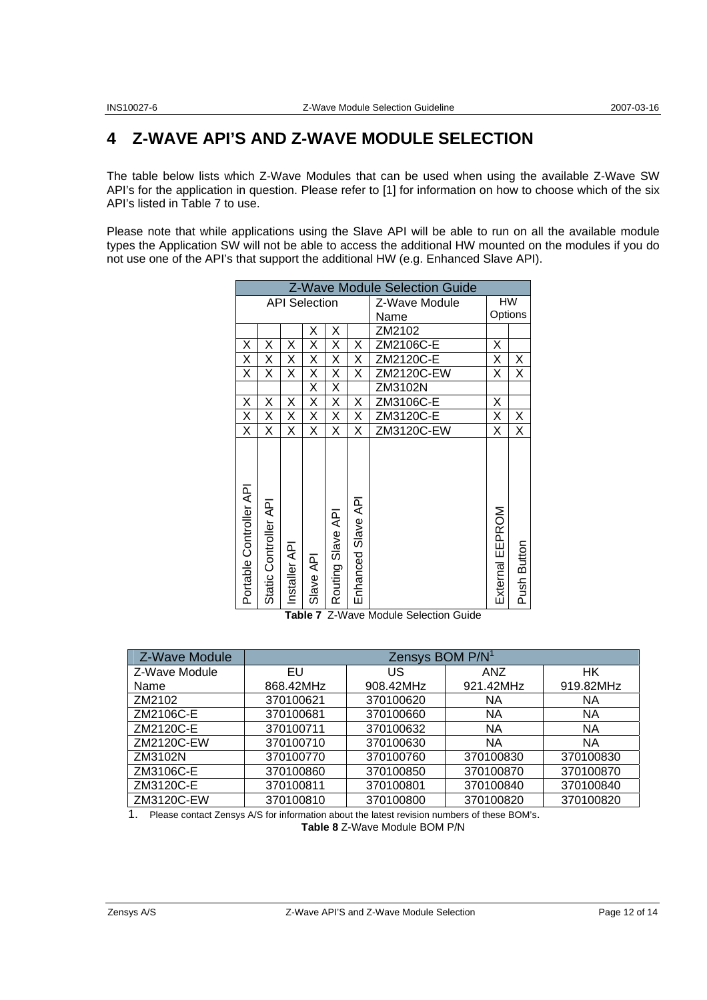### **4 Z-WAVE API'S AND Z-WAVE MODULE SELECTION**

The table below lists which Z-Wave Modules that can be used when using the available Z-Wave SW API's for the application in question. Please refer to [1] for information on how to choose which of the six API's listed in Table 7 to use.

Please note that while applications using the Slave API will be able to run on all the available module types the Application SW will not be able to access the additional HW mounted on the modules if you do not use one of the API's that support the additional HW (e.g. Enhanced Slave API).

| <b>Z-Wave Module Selection Guide</b> |                      |              |           |                   |                    |               |                 |             |
|--------------------------------------|----------------------|--------------|-----------|-------------------|--------------------|---------------|-----------------|-------------|
| <b>API Selection</b>                 |                      |              |           |                   |                    | Z-Wave Module | HW              |             |
|                                      |                      |              |           |                   |                    | Name          | Options         |             |
|                                      |                      |              | Χ         | Χ                 |                    | ZM2102        |                 |             |
| X                                    | Χ                    | Χ            | Χ         | Χ                 | Χ                  | ZM2106C-E     | Х               |             |
| Χ                                    | Χ                    | Χ            | Χ         | Χ                 | Χ                  | ZM2120C-E     | Χ               | X           |
| X                                    | Χ                    | Χ            | Χ         | X                 | Χ                  | ZM2120C-EW    | Χ               | X           |
|                                      |                      |              | Χ         | Χ                 |                    | ZM3102N       |                 |             |
| Χ                                    | Χ                    | Χ            | X         | Χ                 | Χ                  | ZM3106C-E     | Χ               |             |
| X                                    | Χ                    | Χ            | Χ         | Χ                 | Χ                  | ZM3120C-E     | Χ               | Χ           |
| Χ                                    | Χ                    | Χ            | Χ         | Χ                 | Χ                  | ZM3120C-EW    | Χ               | X           |
| Portable Controller API              | Static Controller AP | Installer AP | Slave API | Routing Slave API | Enhanced Slave API |               | External EEPROM | Push Button |

**Table 7** Z-Wave Module Selection Guide

| Z-Wave Module | Zensys BOM P/N <sup>1</sup> |           |            |           |  |  |  |  |
|---------------|-----------------------------|-----------|------------|-----------|--|--|--|--|
| Z-Wave Module | EU                          | US.       | <b>ANZ</b> | <b>HK</b> |  |  |  |  |
| Name          | 868.42MHz                   | 908.42MHz | 921.42MHz  | 919.82MHz |  |  |  |  |
| ZM2102        | 370100621                   | 370100620 | <b>NA</b>  | NA.       |  |  |  |  |
| ZM2106C-E     | 370100681                   | 370100660 | <b>NA</b>  | <b>NA</b> |  |  |  |  |
| ZM2120C-E     | 370100711                   | 370100632 | <b>NA</b>  | <b>NA</b> |  |  |  |  |
| ZM2120C-EW    | 370100710                   | 370100630 | <b>NA</b>  | <b>NA</b> |  |  |  |  |
| ZM3102N       | 370100770                   | 370100760 | 370100830  | 370100830 |  |  |  |  |
| ZM3106C-E     | 370100860                   | 370100850 | 370100870  | 370100870 |  |  |  |  |
| ZM3120C-E     | 370100811                   | 370100801 | 370100840  | 370100840 |  |  |  |  |
| ZM3120C-EW    | 370100810                   | 370100800 | 370100820  | 370100820 |  |  |  |  |

1. Please contact Zensys A/S for information about the latest revision numbers of these BOM's.

**Table 8** Z-Wave Module BOM P/N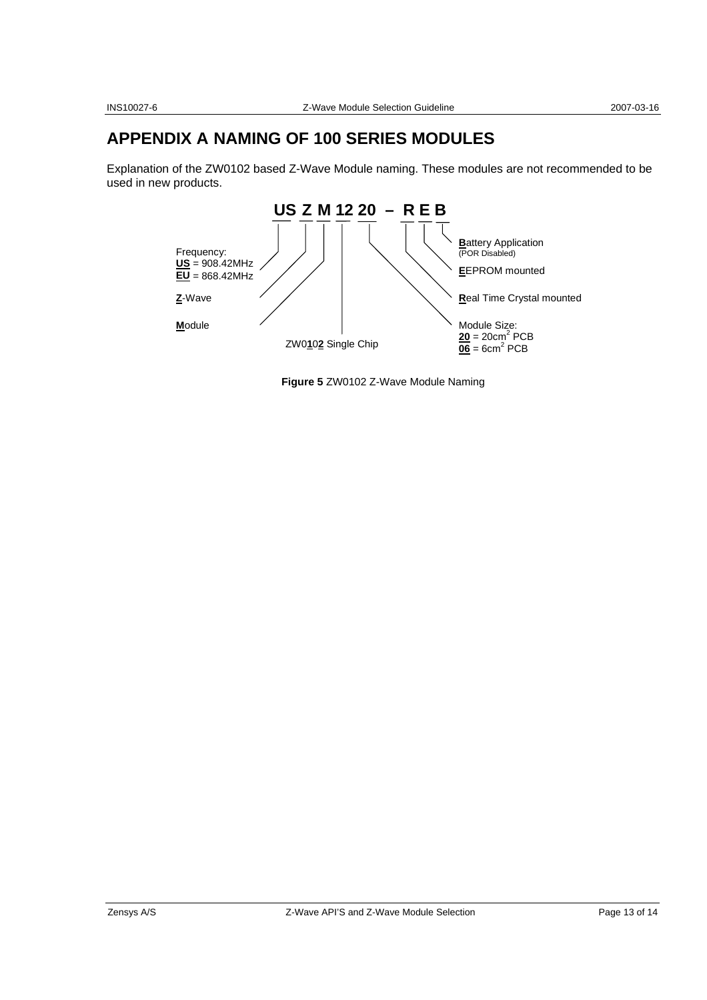### **APPENDIX A NAMING OF 100 SERIES MODULES**

Explanation of the ZW0102 based Z-Wave Module naming. These modules are not recommended to be used in new products.



**Figure 5** ZW0102 Z-Wave Module Naming